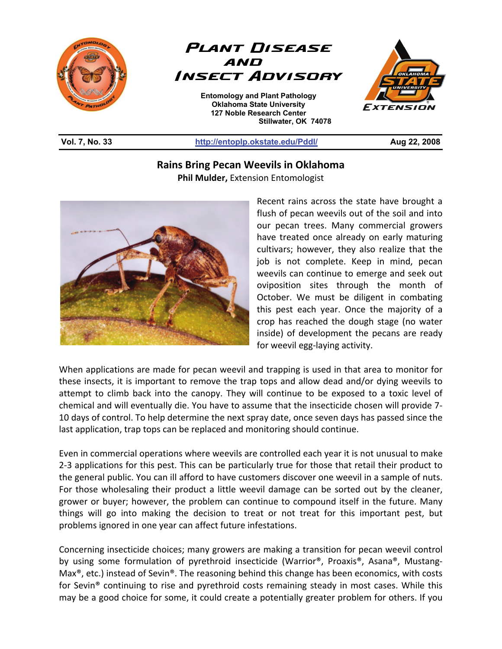



**Entomology and Plant Pathology Oklahoma State University 127 Noble Research Center Stillwater, OK 74078**  L



#### **Vol. 7, No. 33 http://entoplp.okstate.edu/Pddl/ Aug 22, 2008**

### **Rains Bring Pecan Weevils in Oklahoma Phil Mulder,** Extension Entomologist



Recent rains across the state have brought a flush of pecan weevils out of the soil and into our pecan trees. Many commercial growers have treated once already on early maturing cultivars; however, they also realize that the job is not complete. Keep in mind, pecan weevils can continue to emerge and seek out oviposition sites through the month of October. We must be diligent in combating this pest each year. Once the majority of a crop has reached the dough stage (no water inside) of development the pecans are ready for weevil egg-laying activity.

When applications are made for pecan weevil and trapping is used in that area to monitor for these insects, it is important to remove the trap tops and allow dead and/or dying weevils to attempt to climb back into the canopy. They will continue to be exposed to a toxic level of chemical and will eventually die. You have to assume that the insecticide chosen will provide 7- 10 days of control. To help determine the next spray date, once seven days has passed since the last application, trap tops can be replaced and monitoring should continue.

Even in commercial operations where weevils are controlled each year it is not unusual to make 2-3 applications for this pest. This can be particularly true for those that retail their product to the general public. You can ill afford to have customers discover one weevil in a sample of nuts. For those wholesaling their product a little weevil damage can be sorted out by the cleaner, grower or buyer; however, the problem can continue to compound itself in the future. Many things will go into making the decision to treat or not treat for this important pest, but problems ignored in one year can affect future infestations.

Concerning insecticide choices; many growers are making a transition for pecan weevil control by using some formulation of pyrethroid insecticide (Warrior®, Proaxis®, Asana®, Mustang-Max<sup>®</sup>, etc.) instead of Sevin®. The reasoning behind this change has been economics, with costs for Sevin® continuing to rise and pyrethroid costs remaining steady in most cases. While this may be a good choice for some, it could create a potentially greater problem for others. If you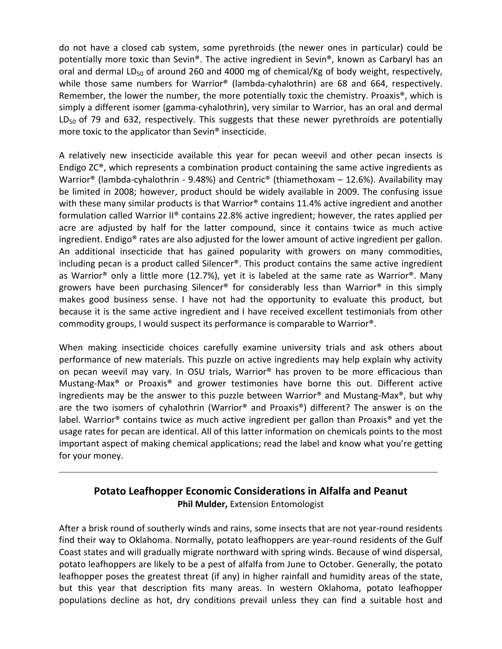do not have a closed cab system, some pyrethroids (the newer ones in particular) could be potentially more toxic than Sevin®. The active ingredient in Sevin®, known as Carbaryl has an oral and dermal  $LD_{50}$  of around 260 and 4000 mg of chemical/Kg of body weight, respectively, while those same numbers for Warrior® (lambda-cyhalothrin) are 68 and 664, respectively. Remember, the lower the number, the more potentially toxic the chemistry. Proaxis<sup>®</sup>, which is simply a different isomer (gamma-cyhalothrin), very similar to Warrior, has an oral and dermal  $LD_{50}$  of 79 and 632, respectively. This suggests that these newer pyrethroids are potentially more toxic to the applicator than Sevin® insecticide.

A relatively new insecticide available this year for pecan weevil and other pecan insects is Endigo  $ZC<sup>®</sup>$ , which represents a combination product containing the same active ingredients as Warrior® (lambda-cyhalothrin - 9.48%) and Centric® (thiamethoxam – 12.6%). Availability may be limited in 2008; however, product should be widely available in 2009. The confusing issue with these many similar products is that Warrior<sup>®</sup> contains 11.4% active ingredient and another formulation called Warrior II® contains 22.8% active ingredient; however, the rates applied per acre are adjusted by half for the latter compound, since it contains twice as much active ingredient. Endigo® rates are also adjusted for the lower amount of active ingredient per gallon. An additional insecticide that has gained popularity with growers on many commodities, including pecan is a product called Silencer®. This product contains the same active ingredient as Warrior<sup>®</sup> only a little more (12.7%), yet it is labeled at the same rate as Warrior<sup>®</sup>. Many growers have been purchasing Silencer® for considerably less than Warrior® in this simply makes good business sense. I have not had the opportunity to evaluate this product, but because it is the same active ingredient and I have received excellent testimonials from other commodity groups, I would suspect its performance is comparable to Warrior®.

When making insecticide choices carefully examine university trials and ask others about performance of new materials. This puzzle on active ingredients may help explain why activity on pecan weevil may vary. In OSU trials, Warrior® has proven to be more efficacious than Mustang-Max® or Proaxis® and grower testimonies have borne this out. Different active ingredients may be the answer to this puzzle between Warrior® and Mustang-Max<sup>®</sup>, but why are the two isomers of cyhalothrin (Warrior® and Proaxis®) different? The answer is on the label. Warrior<sup>®</sup> contains twice as much active ingredient per gallon than Proaxis<sup>®</sup> and yet the usage rates for pecan are identical. All of this latter information on chemicals points to the most important aspect of making chemical applications; read the label and know what you're getting for your money.

# **Potato Leafhopper Economic Considerations in Alfalfa and Peanut Phil Mulder,** Extension Entomologist

 $\_$  , and the contribution of the contribution of the contribution of the contribution of  $\mathcal{L}_\text{max}$ 

After a brisk round of southerly winds and rains, some insects that are not year-round residents find their way to Oklahoma. Normally, potato leafhoppers are year-round residents of the Gulf Coast states and will gradually migrate northward with spring winds. Because of wind dispersal, potato leafhoppers are likely to be a pest of alfalfa from June to October. Generally, the potato leafhopper poses the greatest threat (if any) in higher rainfall and humidity areas of the state, but this year that description fits many areas. In western Oklahoma, potato leafhopper populations decline as hot, dry conditions prevail unless they can find a suitable host and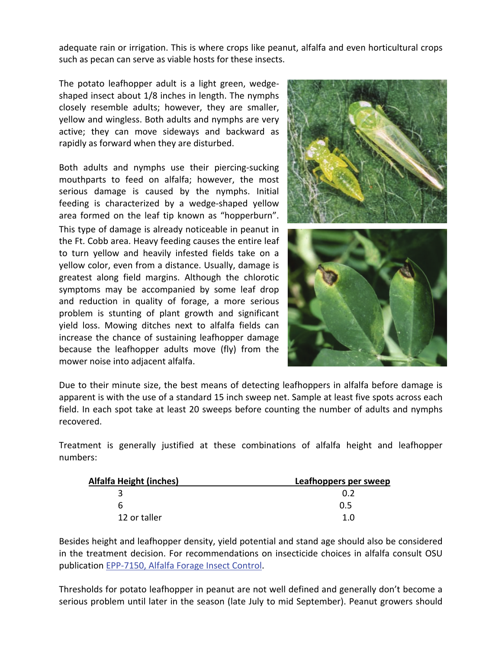adequate rain or irrigation. This is where crops like peanut, alfalfa and even horticultural crops such as pecan can serve as viable hosts for these insects.

The potato leafhopper adult is a light green, wedgeshaped insect about 1/8 inches in length. The nymphs closely resemble adults; however, they are smaller, yellow and wingless. Both adults and nymphs are very active; they can move sideways and backward as rapidly as forward when they are disturbed.

Both adults and nymphs use their piercing-sucking mouthparts to feed on alfalfa; however, the most serious damage is caused by the nymphs. Initial feeding is characterized by a wedge-shaped yellow area formed on the leaf tip known as "hopperburn". This type of damage is already noticeable in peanut in the Ft. Cobb area. Heavy feeding causes the entire leaf to turn yellow and heavily infested fields take on a yellow color, even from a distance. Usually, damage is greatest along field margins. Although the chlorotic symptoms may be accompanied by some leaf drop and reduction in quality of forage, a more serious problem is stunting of plant growth and significant yield loss. Mowing ditches next to alfalfa fields can increase the chance of sustaining leafhopper damage because the leafhopper adults move (fly) from the mower noise into adjacent alfalfa.



Due to their minute size, the best means of detecting leafhoppers in alfalfa before damage is apparent is with the use of a standard 15 inch sweep net. Sample at least five spots across each field. In each spot take at least 20 sweeps before counting the number of adults and nymphs recovered.

Treatment is generally justified at these combinations of alfalfa height and leafhopper numbers:

| <b>Alfalfa Height (inches)</b> | Leafhoppers per sweep |
|--------------------------------|-----------------------|
|                                |                       |
|                                | 0.5                   |
| 12 or taller                   | 1.0                   |

Besides height and leafhopper density, yield potential and stand age should also be considered in the treatment decision. For recommendations on insecticide choices in alfalfa consult OSU publication EPP-7150, Alfalfa Forage Insect Control.

Thresholds for potato leafhopper in peanut are not well defined and generally don't become a serious problem until later in the season (late July to mid September). Peanut growers should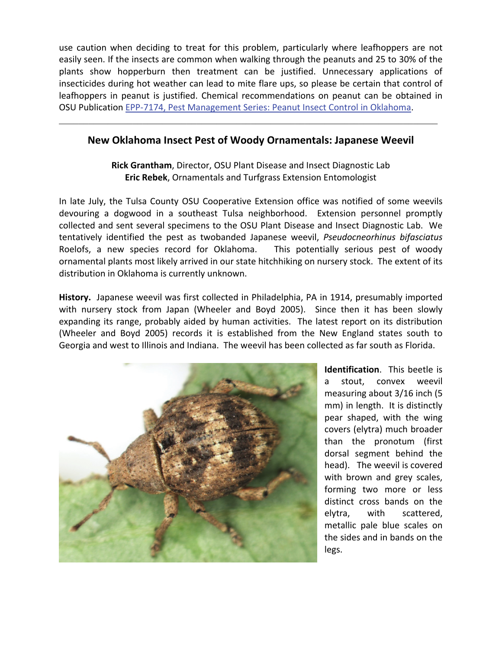use caution when deciding to treat for this problem, particularly where leafhoppers are not easily seen. If the insects are common when walking through the peanuts and 25 to 30% of the plants show hopperburn then treatment can be justified. Unnecessary applications of insecticides during hot weather can lead to mite flare ups, so please be certain that control of leafhoppers in peanut is justified. Chemical recommendations on peanut can be obtained in OSU Publication EPP-7174, Pest Management Series: Peanut Insect Control in Oklahoma.

## **New Oklahoma Insect Pest of Woody Ornamentals: Japanese Weevil**

 $\_$  , and the contribution of the contribution of the contribution of the contribution of  $\mathcal{L}_\text{max}$ 

**Rick Grantham**, Director, OSU Plant Disease and Insect Diagnostic Lab **Eric Rebek**, Ornamentals and Turfgrass Extension Entomologist

In late July, the Tulsa County OSU Cooperative Extension office was notified of some weevils devouring a dogwood in a southeast Tulsa neighborhood. Extension personnel promptly collected and sent several specimens to the OSU Plant Disease and Insect Diagnostic Lab. We tentatively identified the pest as twobanded Japanese weevil, *Pseudocneorhinus bifasciatus*  Roelofs, a new species record for Oklahoma. This potentially serious pest of woody ornamental plants most likely arrived in our state hitchhiking on nursery stock. The extent of its distribution in Oklahoma is currently unknown.

**History.** Japanese weevil was first collected in Philadelphia, PA in 1914, presumably imported with nursery stock from Japan (Wheeler and Boyd 2005). Since then it has been slowly expanding its range, probably aided by human activities. The latest report on its distribution (Wheeler and Boyd 2005) records it is established from the New England states south to Georgia and west to Illinois and Indiana. The weevil has been collected as far south as Florida.



**Identification**. This beetle is a stout, convex weevil measuring about 3/16 inch (5 mm) in length. It is distinctly pear shaped, with the wing covers (elytra) much broader than the pronotum (first dorsal segment behind the head). The weevil is covered with brown and grey scales, forming two more or less distinct cross bands on the elytra, with scattered, metallic pale blue scales on the sides and in bands on the legs.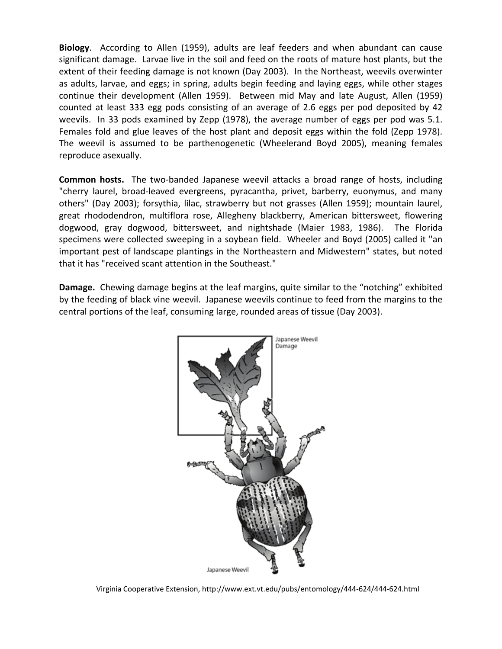**Biology**. According to Allen (1959), adults are leaf feeders and when abundant can cause significant damage. Larvae live in the soil and feed on the roots of mature host plants, but the extent of their feeding damage is not known (Day 2003). In the Northeast, weevils overwinter as adults, larvae, and eggs; in spring, adults begin feeding and laying eggs, while other stages continue their development (Allen 1959). Between mid May and late August, Allen (1959) counted at least 333 egg pods consisting of an average of 2.6 eggs per pod deposited by 42 weevils. In 33 pods examined by Zepp (1978), the average number of eggs per pod was 5.1. Females fold and glue leaves of the host plant and deposit eggs within the fold (Zepp 1978). The weevil is assumed to be parthenogenetic (Wheelerand Boyd 2005), meaning females reproduce asexually.

**Common hosts.** The two-banded Japanese weevil attacks a broad range of hosts, including "cherry laurel, broad-leaved evergreens, pyracantha, privet, barberry, euonymus, and many others" (Day 2003); forsythia, lilac, strawberry but not grasses (Allen 1959); mountain laurel, great rhododendron, multiflora rose, Allegheny blackberry, American bittersweet, flowering dogwood, gray dogwood, bittersweet, and nightshade (Maier 1983, 1986). The Florida specimens were collected sweeping in a soybean field. Wheeler and Boyd (2005) called it "an important pest of landscape plantings in the Northeastern and Midwestern" states, but noted that it has "received scant attention in the Southeast."

**Damage.** Chewing damage begins at the leaf margins, quite similar to the "notching" exhibited by the feeding of black vine weevil. Japanese weevils continue to feed from the margins to the central portions of the leaf, consuming large, rounded areas of tissue (Day 2003).



Virginia Cooperative Extension, http://www.ext.vt.edu/pubs/entomology/444-624/444-624.html